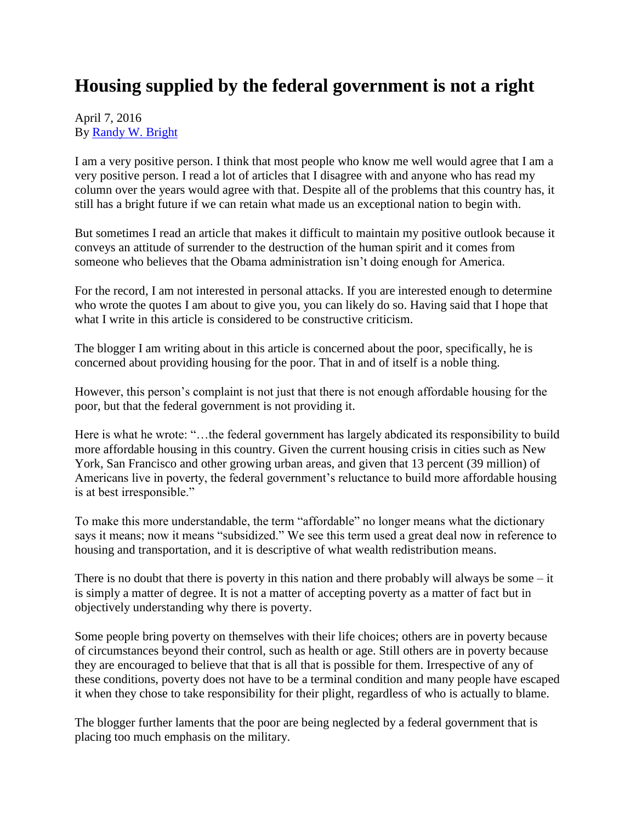## **Housing supplied by the federal government is not a right**

## April 7, 2016 By [Randy W. Bright](http://www.tulsabeacon.com/author/slug-o6yd1v)

I am a very positive person. I think that most people who know me well would agree that I am a very positive person. I read a lot of articles that I disagree with and anyone who has read my column over the years would agree with that. Despite all of the problems that this country has, it still has a bright future if we can retain what made us an exceptional nation to begin with.

But sometimes I read an article that makes it difficult to maintain my positive outlook because it conveys an attitude of surrender to the destruction of the human spirit and it comes from someone who believes that the Obama administration isn't doing enough for America.

For the record, I am not interested in personal attacks. If you are interested enough to determine who wrote the quotes I am about to give you, you can likely do so. Having said that I hope that what I write in this article is considered to be constructive criticism.

The blogger I am writing about in this article is concerned about the poor, specifically, he is concerned about providing housing for the poor. That in and of itself is a noble thing.

However, this person's complaint is not just that there is not enough affordable housing for the poor, but that the federal government is not providing it.

Here is what he wrote: "…the federal government has largely abdicated its responsibility to build more affordable housing in this country. Given the current housing crisis in cities such as New York, San Francisco and other growing urban areas, and given that 13 percent (39 million) of Americans live in poverty, the federal government's reluctance to build more affordable housing is at best irresponsible."

To make this more understandable, the term "affordable" no longer means what the dictionary says it means; now it means "subsidized." We see this term used a great deal now in reference to housing and transportation, and it is descriptive of what wealth redistribution means.

There is no doubt that there is poverty in this nation and there probably will always be some  $-$  it is simply a matter of degree. It is not a matter of accepting poverty as a matter of fact but in objectively understanding why there is poverty.

Some people bring poverty on themselves with their life choices; others are in poverty because of circumstances beyond their control, such as health or age. Still others are in poverty because they are encouraged to believe that that is all that is possible for them. Irrespective of any of these conditions, poverty does not have to be a terminal condition and many people have escaped it when they chose to take responsibility for their plight, regardless of who is actually to blame.

The blogger further laments that the poor are being neglected by a federal government that is placing too much emphasis on the military.